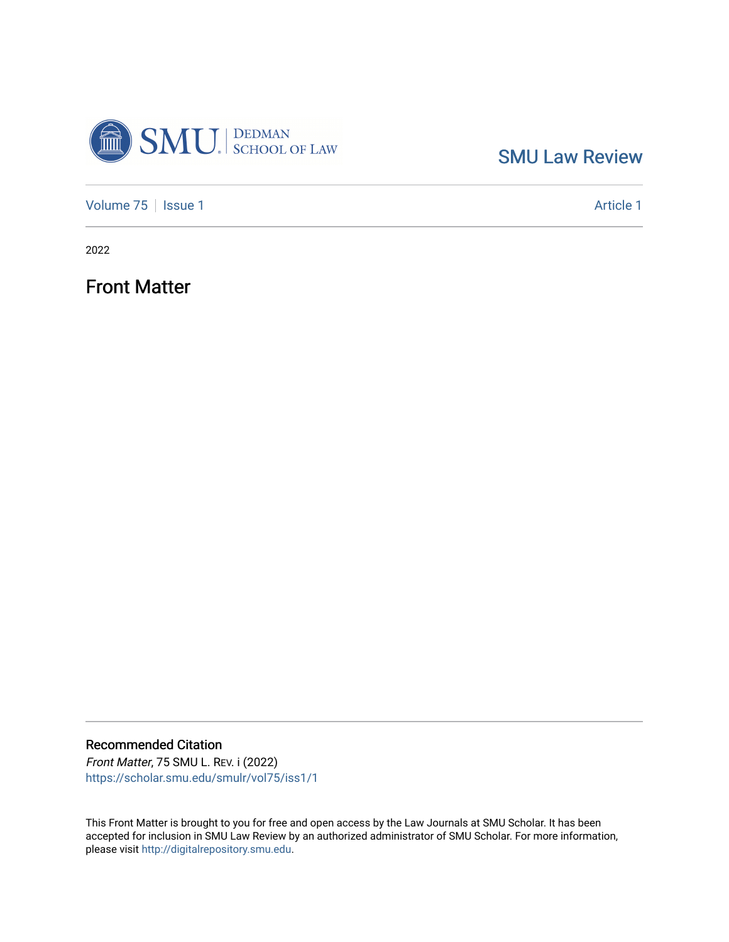

[Volume 75](https://scholar.smu.edu/smulr/vol75) | [Issue 1](https://scholar.smu.edu/smulr/vol75/iss1) Article 1

2022

Front Matter

Recommended Citation

Front Matter, 75 SMU L. REV. i (2022) [https://scholar.smu.edu/smulr/vol75/iss1/1](https://scholar.smu.edu/smulr/vol75/iss1/1?utm_source=scholar.smu.edu%2Fsmulr%2Fvol75%2Fiss1%2F1&utm_medium=PDF&utm_campaign=PDFCoverPages) 

This Front Matter is brought to you for free and open access by the Law Journals at SMU Scholar. It has been accepted for inclusion in SMU Law Review by an authorized administrator of SMU Scholar. For more information, please visit [http://digitalrepository.smu.edu.](http://digitalrepository.smu.edu/)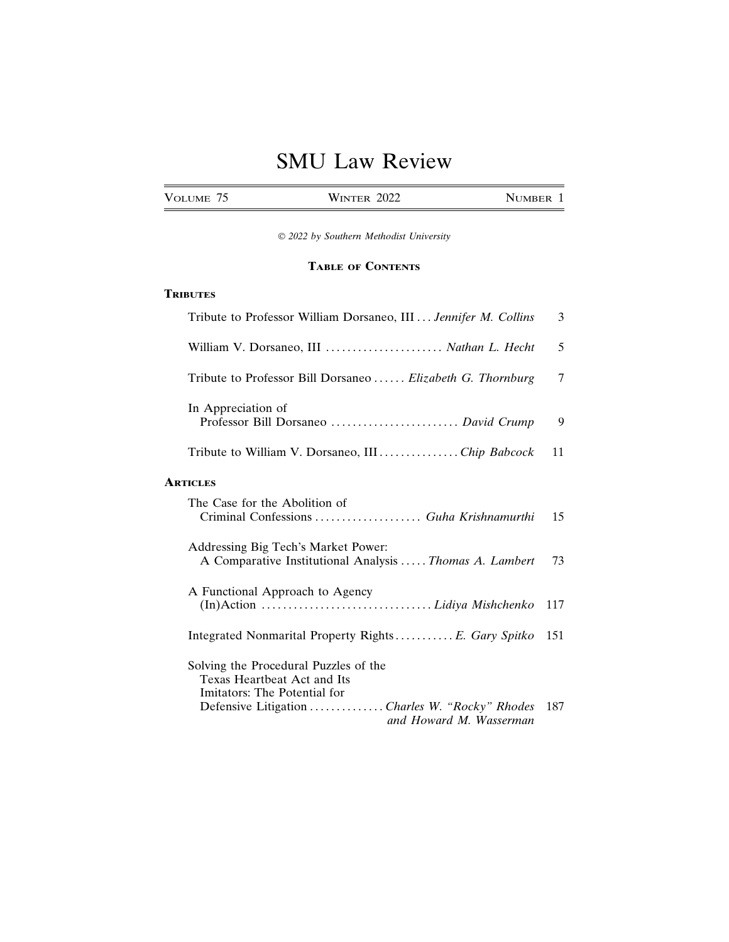| <b>VOLUME</b> | າດາາ<br><b>INTER</b><br>W<br>2022 | <b>MBER</b> |
|---------------|-----------------------------------|-------------|
|               |                                   |             |

© *2022 by Southern Methodist University*

#### **TABLE OF CONTENTS**

#### **TRIBUTES**

| Tribute to Professor William Dorsaneo, III  Jennifer M. Collins                                             | 3   |
|-------------------------------------------------------------------------------------------------------------|-----|
| William V. Dorsaneo, III  Nathan L. Hecht                                                                   | 5   |
| Tribute to Professor Bill Dorsaneo  Elizabeth G. Thornburg                                                  | 7   |
| In Appreciation of<br>Professor Bill Dorsaneo  David Crump                                                  | 9   |
| Tribute to William V. Dorsaneo, III  Chip Babcock                                                           | 11  |
| <b>ARTICLES</b>                                                                                             |     |
| The Case for the Abolition of<br>Criminal Confessions  Guha Krishnamurthi                                   | 15  |
| Addressing Big Tech's Market Power:<br>A Comparative Institutional Analysis  Thomas A. Lambert              | 73  |
| A Functional Approach to Agency                                                                             | 117 |
| Integrated Nonmarital Property Rights E. Gary Spitko                                                        | 151 |
| Solving the Procedural Puzzles of the<br><b>Texas Heartbeat Act and Its</b><br>Imitators: The Potential for |     |
| Defensive Litigation  Charles W. "Rocky" Rhodes<br>and Howard M. Wasserman                                  | 187 |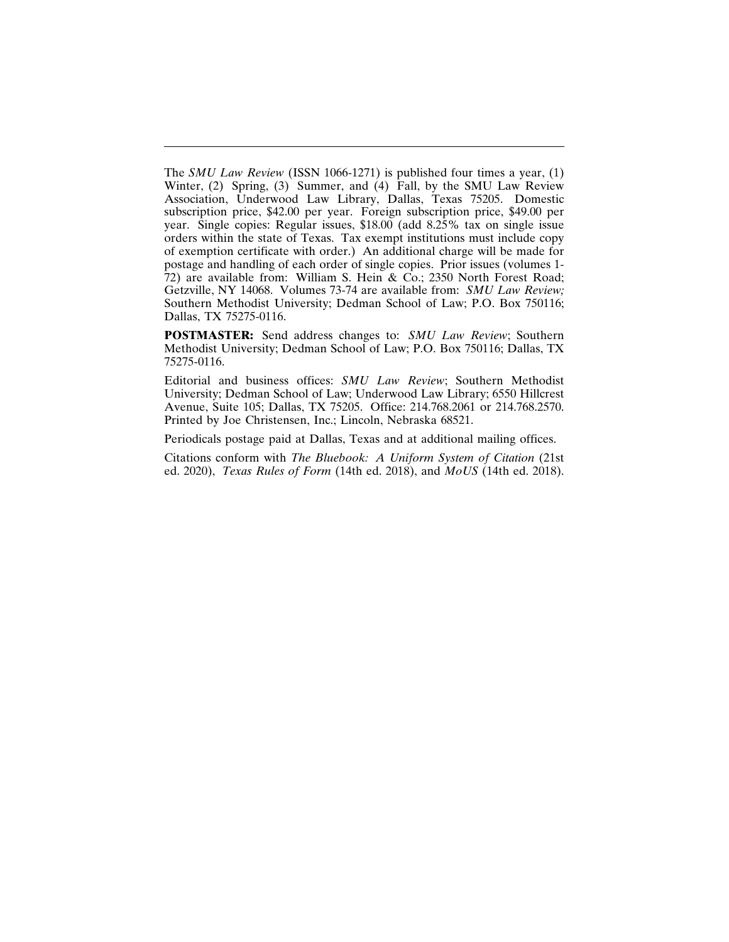The *SMU Law Review* (ISSN 1066-1271) is published four times a year, (1) Winter, (2) Spring, (3) Summer, and (4) Fall, by the SMU Law Review Association, Underwood Law Library, Dallas, Texas 75205. Domestic subscription price, \$42.00 per year. Foreign subscription price, \$49.00 per year. Single copies: Regular issues, \$18.00 (add 8.25% tax on single issue orders within the state of Texas. Tax exempt institutions must include copy of exemption certificate with order.) An additional charge will be made for postage and handling of each order of single copies. Prior issues (volumes 1- 72) are available from: William S. Hein & Co.; 2350 North Forest Road; Getzville, NY 14068. Volumes 73-74 are available from: *SMU Law Review;* Southern Methodist University; Dedman School of Law; P.O. Box 750116; Dallas, TX 75275-0116.

**POSTMASTER:** Send address changes to: *SMU Law Review*; Southern Methodist University; Dedman School of Law; P.O. Box 750116; Dallas, TX 75275-0116.

Editorial and business offices: *SMU Law Review*; Southern Methodist University; Dedman School of Law; Underwood Law Library; 6550 Hillcrest Avenue, Suite 105; Dallas, TX 75205. Office: 214.768.2061 or 214.768.2570. Printed by Joe Christensen, Inc.; Lincoln, Nebraska 68521.

Periodicals postage paid at Dallas, Texas and at additional mailing offices.

Citations conform with *The Bluebook: A Uniform System of Citation* (21st ed. 2020), *Texas Rules of Form* (14th ed. 2018), and *MoUS* (14th ed. 2018).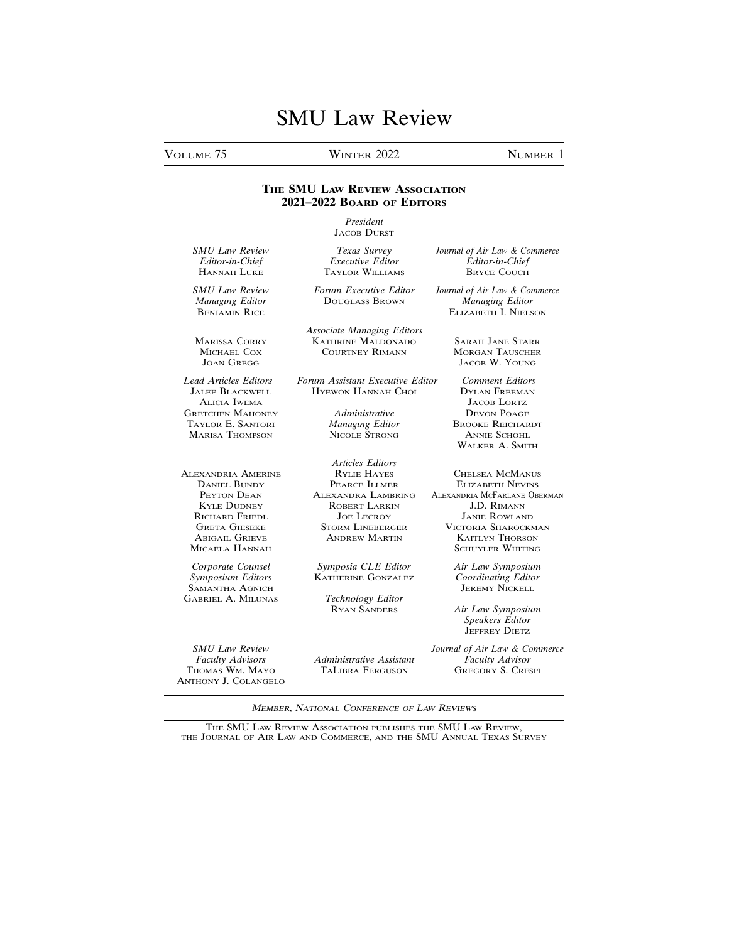VOLUME 75 WINTER 2022 NUMBER 1

SAMANTHA AGNICH

ANTHONY J. COLANGELO

#### **THE SMU LAW REVIEW ASSOCIATION 2021–2022 BOARD OF EDITORS**

*President* JACOB DURST

TAYLOR WILLIAMS

*Managing Editor* DOUGLASS BROWN *Managing Editor*

*Associate Managing Editors* MARISSA CORRY KATHRINE MALDONADO SARAH JANE STARR

*Lead Articles Editors Forum Assistant Executive Editor Comment Editors* HYEWON HANNAH CHOI

*Articles Editors* ALEXANDRIA AMERINE RYLIE HAYES CHELSEA MCMANUS **DANIEL BUNDY PEARCE ILLMER ELIZABETH NEVINS<br>PEYTON DEAN PEARCE ALEXANDRA LAMBRING ALEXANDRIA MCFARLANE OB** ROBERT LARKIN RICHARD FRIEDL JOE LECROY JANIE ROWLAND<br>GRETA GIESEKE STORM LINEBERGER VICTORIA SHAROCKN

*Corporate Counsel Symposia CLE Editor Air Law Symposium*

GABRIEL A. MILUNAS *Technology Editor*

THOMAS WM. MAYO TALIBRA FERGUSON

*SMU Law Review Texas Survey Journal of Air Law & Commerce Editor-in-Chief Executive Editor Editor-in-Chief*

*SMU Law Review Forum Executive Editor Journal of Air Law & Commerce* **ELIZABETH I. NIELSON** 

**MORGAN TAUSCHER** JOAN GREGG JACOB W. YOUNG

ALICIA IWEMA JACOB LORTZ **GRETCHEN MAHONEY** *Administrative* **DEVON POAGE**<br>TAYLOR E. SANTORI *Managing Editor* BROOKE REICHAR **Managing Editor BROOKE REICHARDT**<br>**NICOLE STRONG ANNIE SCHOHL** MARISA THOMPSON NICOLE STRONG ANNIE SCHOHL WALKER A. SMITH

PEYTON DEAN ALEXANDRA LAMBRING ALEXANDRIA MCFARLANE OBERMAN KYLE DUDNEY ROBERT LARKIN J.D. RIMANN GRETA GIESERGER VICTORIA SHAROCKMAN ANDREW MARTIN KAITLYN THORSON ABIGAIL GRIEVE ANDREW MARTIN KAITLYN THORSON SCHUYLER WHITING

**KATHERINE GONZALEZ** *Coordinating Edito*<br>JEREMY NICKELL

**Air Law Symposium** *Speakers Editor* JEFFREY DIETZ

*SMU Law Review Journal of Air Law & Commerce Administrative Assistant Faculty Advisor*<br>TALIBRA FERGUSON GREGORY S. CRESPI

MEMBER, NATIONAL CONFERENCE OF LAW REVIEWS

THE SMU LAW REVIEW ASSOCIATION PUBLISHES THE SMU LAW REVIEW, THE JOURNAL OF AIR LAW AND COMMERCE, AND THE SMU ANNUAL TEXAS SURVEY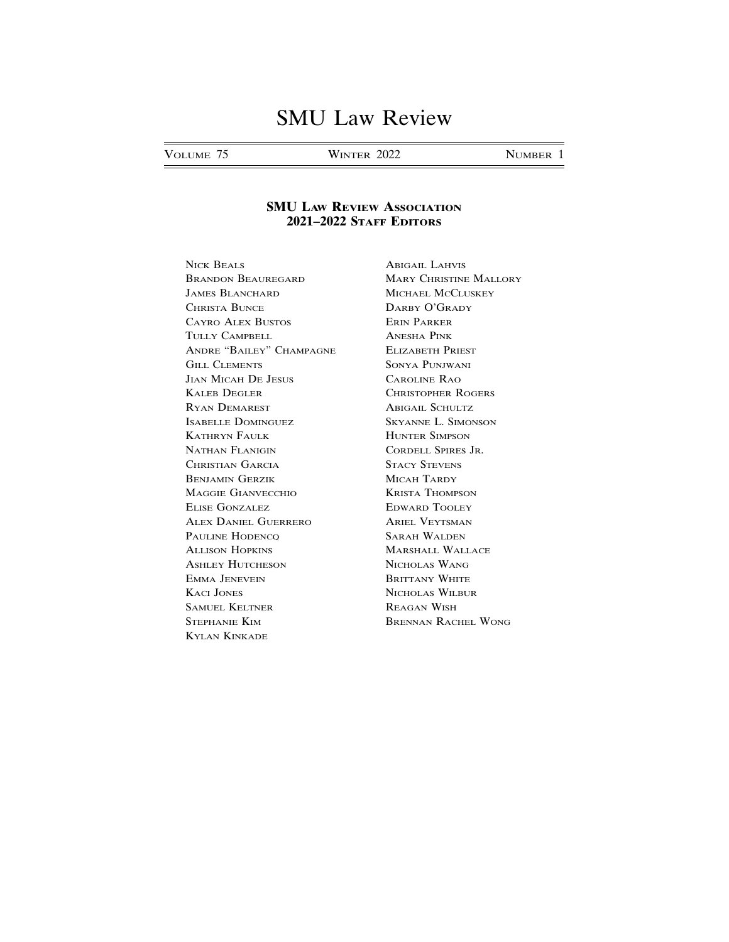VOLUME 75 WINTER 2022 NUMBER 1

#### **SMU LAW REVIEW ASSOCIATION 2021–2022 STAFF EDITORS**

NICK BEALS ABIGAIL LAHVIS BRANDON BEAUREGARD MARY CHRISTINE MALLORY **JAMES BLANCHARD MICHAEL MCCLUSKEY** CHRISTA BUNCE DARBY O'GRADY CAYRO ALEX BUSTOS ERIN PARKER TULLY CAMPBELL ANESHA PINK ANDRE "BAILEY" CHAMPAGNE ELIZABETH PRIEST GILL CLEMENTS SONYA PUNJWANI JIAN MICAH DE JESUS CAROLINE RAO KALEB DEGLER CHRISTOPHER ROGERS RYAN DEMAREST ABIGAIL SCHULTZ ISABELLE DOMINGUEZ SKYANNE L. SIMONSON KATHRYN FAULK HUNTER SIMPSON NATHAN FLANIGIN CORDELL SPIRES JR. CHRISTIAN GARCIA STACY STEVENS BENJAMIN GERZIK MICAH TARDY MAGGIE GIANVECCHIO KRISTA THOMPSON ELISE GONZALEZ EDWARD TOOLEY ALEX DANIEL GUERRERO ARIEL VEYTSMAN PAULINE HODENCQ SARAH WALDEN ALLISON HOPKINS MARSHALL WALLACE ASHLEY HUTCHESON NICHOLAS WANG EMMA JENEVEIN BRITTANY WHITE KACI JONES NICHOLAS WILBUR SAMUEL KELTNER REAGAN WISH STEPHANIE KIM BRENNAN RACHEL WONG KYLAN KINKADE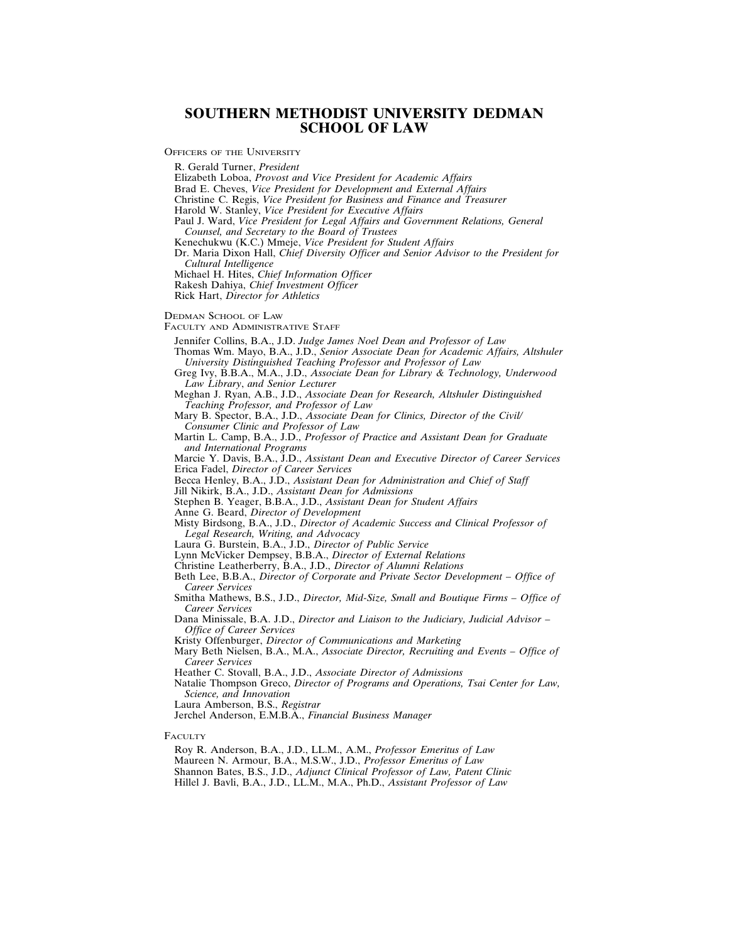#### **SOUTHERN METHODIST UNIVERSITY DEDMAN SCHOOL OF LAW**

OFFICERS OF THE UNIVERSITY

R. Gerald Turner, *President*

Elizabeth Loboa, *Provost and Vice President for Academic Affairs*

Brad E. Cheves, *Vice President for Development and External Affairs*

Christine C. Regis, *Vice President for Business and Finance and Treasurer*

Harold W. Stanley, *Vice President for Executive Affairs*

Paul J. Ward, *Vice President for Legal Affairs and Government Relations, General Counsel, and Secretary to the Board of Trustees*

Kenechukwu (K.C.) Mmeje, *Vice President for Student Affairs*

Dr. Maria Dixon Hall, *Chief Diversity Officer and Senior Advisor to the President for Cultural Intelligence*

Michael H. Hites, *Chief Information Officer*

Rakesh Dahiya, *Chief Investment Officer* Rick Hart, *Director for Athletics*

DEDMAN SCHOOL OF LAW

FACULTY AND ADMINISTRATIVE STAFF

Jennifer Collins, B.A., J.D. *Judge James Noel Dean and Professor of Law*

Thomas Wm. Mayo, B.A., J.D., *Senior Associate Dean for Academic Affairs, Altshuler University Distinguished Teaching Professor and Professor of Law*

Greg Ivy, B.B.A., M.A., J.D., *Associate Dean for Library & Technology, Underwood Law Library*, *and Senior Lecturer*

Meghan J. Ryan, A.B., J.D., *Associate Dean for Research, Altshuler Distinguished Teaching Professor, and Professor of Law*

Mary B. Spector, B.A., J.D., *Associate Dean for Clinics, Director of the Civil/ Consumer Clinic and Professor of Law*

Martin L. Camp, B.A., J.D., *Professor of Practice and Assistant Dean for Graduate and International Programs*

Marcie Y. Davis, B.A., J.D., *Assistant Dean and Executive Director of Career Services* Erica Fadel, *Director of Career Services*

Becca Henley, B.A., J.D., *Assistant Dean for Administration and Chief of Staff*

Jill Nikirk, B.A., J.D., *Assistant Dean for Admissions*

Stephen B. Yeager, B.B.A., J.D., *Assistant Dean for Student Affairs*

Anne G. Beard, *Director of Development*

Misty Birdsong, B.A., J.D., *Director of Academic Success and Clinical Professor of Legal Research, Writing, and Advocacy*

Laura G. Burstein, B.A., J.D., *Director of Public Service*

Lynn McVicker Dempsey, B.B.A., *Director of External Relations*

Christine Leatherberry, B.A., J.D., *Director of Alumni Relations*

Beth Lee, B.B.A., *Director of Corporate and Private Sector Development* – *Office of Career Services*

Smitha Mathews, B.S., J.D., *Director, Mid-Size, Small and Boutique Firms – Office of Career Services*

Dana Minissale, B.A. J.D., *Director and Liaison to the Judiciary, Judicial Advisor* – *Office of Career Services*

Kristy Offenburger, *Director of Communications and Marketing*

Mary Beth Nielsen, B.A., M.A., *Associate Director, Recruiting and Events – Office of Career Services*

Heather C. Stovall, B.A., J.D., *Associate Director of Admissions*

Natalie Thompson Greco, *Director of Programs and Operations, Tsai Center for Law, Science, and Innovation*

Laura Amberson, B.S., *Registrar*

Jerchel Anderson, E.M.B.A., *Financial Business Manager*

**FACULTY** 

Roy R. Anderson, B.A., J.D., LL.M., A.M., *Professor Emeritus of Law* Maureen N. Armour, B.A., M.S.W., J.D., *Professor Emeritus of Law* Shannon Bates, B.S., J.D., *Adjunct Clinical Professor of Law, Patent Clinic*

Hillel J. Bavli, B.A., J.D., LL.M., M.A., Ph.D., *Assistant Professor of Law*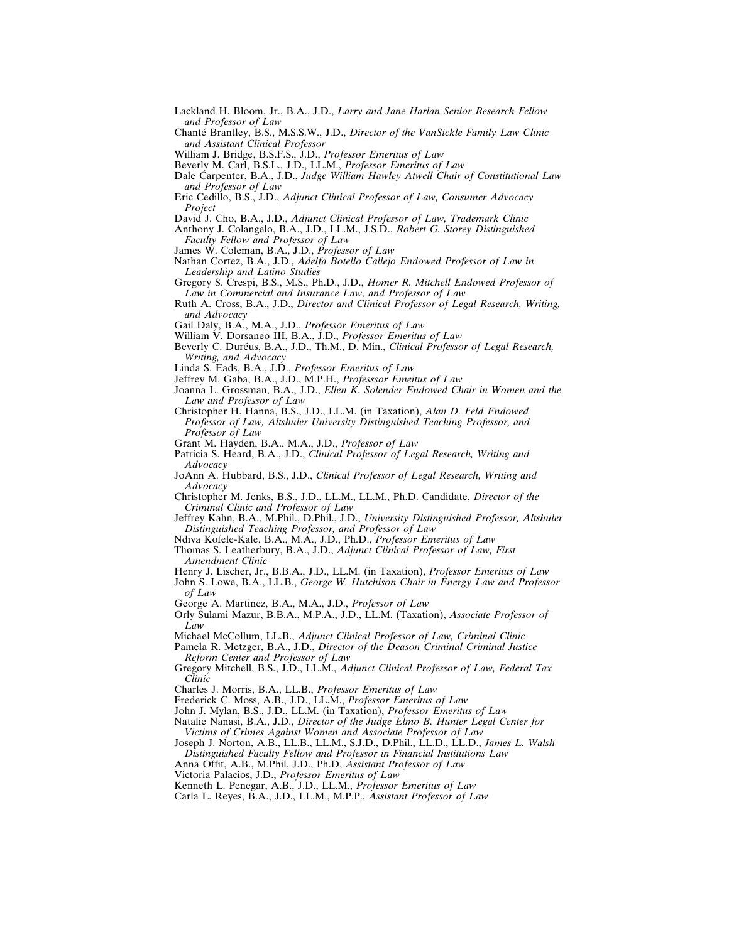- Lackland H. Bloom, Jr., B.A., J.D., *Larry and Jane Harlan Senior Research Fellow and Professor of Law*
- Chanté Brantley, B.S., M.S.S.W., J.D., *Director of the VanSickle Family Law Clinic and Assistant Clinical Professor*
- William J. Bridge, B.S.F.S., J.D., *Professor Emeritus of Law*
- Beverly M. Carl, B.S.L., J.D., LL.M., *Professor Emeritus of Law*
- Dale Carpenter, B.A., J.D., *Judge William Hawley Atwell Chair of Constitutional Law and Professor of Law*
- Eric Cedillo, B.S., J.D., *Adjunct Clinical Professor of Law, Consumer Advocacy Project*
- David J. Cho, B.A., J.D., *Adjunct Clinical Professor of Law, Trademark Clinic*
- Anthony J. Colangelo, B.A., J.D., LL.M., J.S.D., *Robert G. Storey Distinguished Faculty Fellow and Professor of Law*
- James W. Coleman, B.A., J.D., *Professor of Law*
- Nathan Cortez, B.A., J.D., *Adelfa Botello Callejo Endowed Professor of Law in Leadership and Latino Studies*
- Gregory S. Crespi, B.S., M.S., Ph.D., J.D., *Homer R. Mitchell Endowed Professor of Law in Commercial and Insurance Law, and Professor of Law*
- Ruth A. Cross, B.A., J.D., *Director and Clinical Professor of Legal Research, Writing, and Advocacy*
- Gail Daly, B.A., M.A., J.D., *Professor Emeritus of Law*
- William V. Dorsaneo III, B.A., J.D., *Professor Emeritus of Law*
- Beverly C. Duréus, B.A., J.D., Th.M., D. Min., *Clinical Professor of Legal Research*, *Writing, and Advocacy*
- Linda S. Eads, B.A., J.D., *Professor Emeritus of Law*
- Jeffrey M. Gaba, B.A., J.D., M.P.H., *Professsor Emeitus of Law*
- Joanna L. Grossman, B.A., J.D., *Ellen K. Solender Endowed Chair in Women and the Law and Professor of Law*
- Christopher H. Hanna, B.S., J.D., LL.M. (in Taxation), *Alan D. Feld Endowed Professor of Law, Altshuler University Distinguished Teaching Professor, and Professor of Law*
- Grant M. Hayden, B.A., M.A., J.D., *Professor of Law*
- Patricia S. Heard, B.A., J.D., *Clinical Professor of Legal Research, Writing and Advocacy*
- JoAnn A. Hubbard, B.S., J.D., *Clinical Professor of Legal Research, Writing and Advocacy*
- Christopher M. Jenks, B.S., J.D., LL.M., LL.M., Ph.D. Candidate, *Director of the Criminal Clinic and Professor of Law*
- Jeffrey Kahn, B.A., M.Phil., D.Phil., J.D., *University Distinguished Professor, Altshuler Distinguished Teaching Professor, and Professor of Law*
- Ndiva Kofele-Kale, B.A., M.A., J.D., Ph.D., *Professor Emeritus of Law*
- Thomas S. Leatherbury, B.A., J.D., *Adjunct Clinical Professor of Law, First Amendment Clinic*
- Henry J. Lischer, Jr., B.B.A., J.D., LL.M. (in Taxation), *Professor Emeritus of Law*
- John S. Lowe, B.A., LL.B., *George W. Hutchison Chair in Energy Law and Professor of Law*
- George A. Martinez, B.A., M.A., J.D., *Professor of Law*
- Orly Sulami Mazur, B.B.A., M.P.A., J.D., LL.M. (Taxation), *Associate Professor of Law*
- Michael McCollum, LL.B., *Adjunct Clinical Professor of Law, Criminal Clinic*
- Pamela R. Metzger, B.A., J.D., *Director of the Deason Criminal Criminal Justice Reform Center and Professor of Law*
- Gregory Mitchell, B.S., J.D., LL.M., *Adjunct Clinical Professor of Law, Federal Tax Clinic*
- Charles J. Morris, B.A., LL.B., *Professor Emeritus of Law*
- Frederick C. Moss, A.B., J.D., LL.M., *Professor Emeritus of Law*
- John J. Mylan, B.S., J.D., LL.M. (in Taxation), *Professor Emeritus of Law*
- Natalie Nanasi, B.A., J.D., *Director of the Judge Elmo B. Hunter Legal Center for Victims of Crimes Against Women and Associate Professor of Law*
- Joseph J. Norton, A.B., LL.B., LL.M., S.J.D., D.Phil., LL.D., LL.D., *James L. Walsh Distinguished Faculty Fellow and Professor in Financial Institutions Law*
- Anna Offit, A.B., M.Phil, J.D., Ph.D, *Assistant Professor of Law*
- Victoria Palacios, J.D., *Professor Emeritus of Law*
- Kenneth L. Penegar, A.B., J.D., LL.M., *Professor Emeritus of Law*
- Carla L. Reyes, B.A., J.D., LL.M., M.P.P., *Assistant Professor of Law*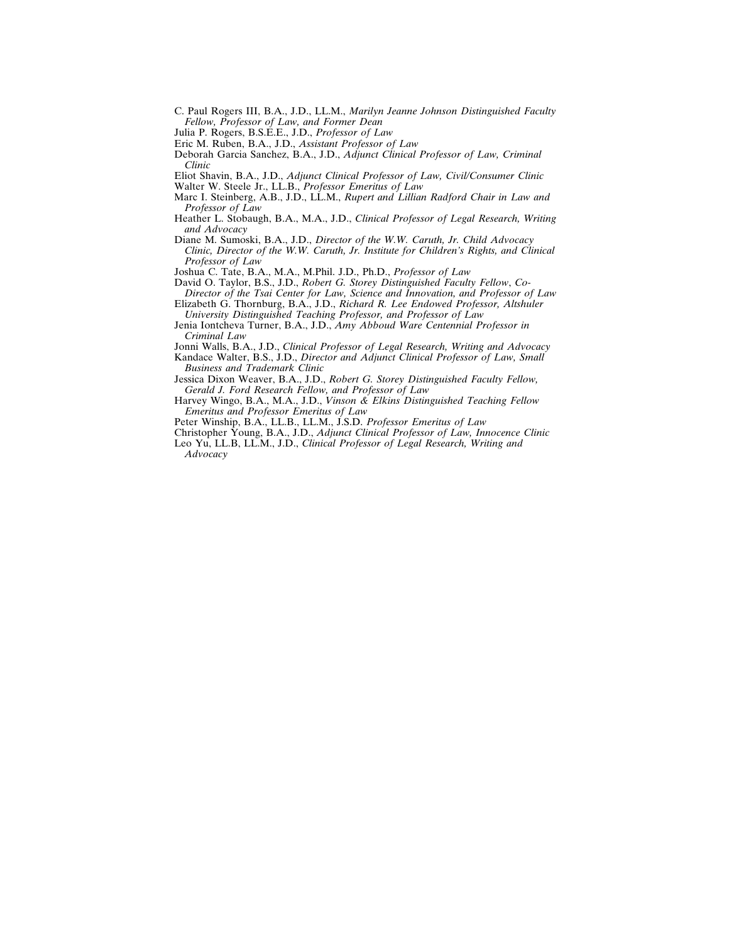- C. Paul Rogers III, B.A., J.D., LL.M., *Marilyn Jeanne Johnson Distinguished Faculty Fellow, Professor of Law, and Former Dean*
- Julia P. Rogers, B.S.E.E., J.D., *Professor of Law*
- Eric M. Ruben, B.A., J.D., *Assistant Professor of Law*
- Deborah Garcia Sanchez, B.A., J.D., *Adjunct Clinical Professor of Law, Criminal Clinic*
- Eliot Shavin, B.A., J.D., *Adjunct Clinical Professor of Law, Civil/Consumer Clinic*
- Walter W. Steele Jr., LL.B., *Professor Emeritus of Law*
- Marc I. Steinberg, A.B., J.D., LL.M., *Rupert and Lillian Radford Chair in Law and Professor of Law*
- Heather L. Stobaugh, B.A., M.A., J.D., *Clinical Professor of Legal Research, Writing and Advocacy*
- Diane M. Sumoski, B.A., J.D., *Director of the W.W. Caruth, Jr. Child Advocacy Clinic, Director of the W.W. Caruth, Jr. Institute for Children's Rights, and Clinical Professor of Law*

Joshua C. Tate, B.A., M.A., M.Phil. J.D., Ph.D., *Professor of Law*

- David O. Taylor, B.S., J.D., *Robert G. Storey Distinguished Faculty Fellow*, *Co-Director of the Tsai Center for Law, Science and Innovation, and Professor of Law*
- Elizabeth G. Thornburg, B.A., J.D., *Richard R. Lee Endowed Professor, Altshuler University Distinguished Teaching Professor, and Professor of Law*
- Jenia Iontcheva Turner, B.A., J.D., *Amy Abboud Ware Centennial Professor in Criminal Law*
- Jonni Walls, B.A., J.D., *Clinical Professor of Legal Research, Writing and Advocacy* Kandace Walter, B.S., J.D., *Director and Adjunct Clinical Professor of Law, Small Business and Trademark Clinic*
- Jessica Dixon Weaver, B.A., J.D., *Robert G. Storey Distinguished Faculty Fellow, Gerald J. Ford Research Fellow, and Professor of Law*
- Harvey Wingo, B.A., M.A., J.D., *Vinson & Elkins Distinguished Teaching Fellow Emeritus and Professor Emeritus of Law*
- Peter Winship, B.A., LL.B., LL.M., J.S.D. *Professor Emeritus of Law*
- Christopher Young, B.A., J.D., *Adjunct Clinical Professor of Law, Innocence Clinic*
- Leo Yu, LL.B, LL.M., J.D., *Clinical Professor of Legal Research, Writing and Advocacy*